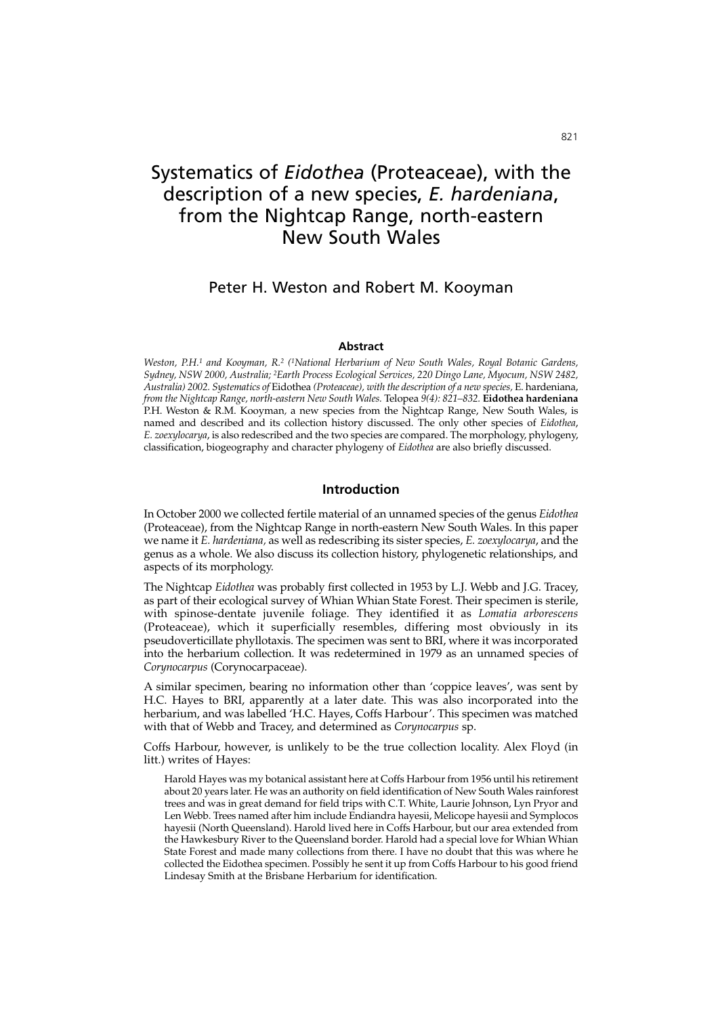# Systematics of *Eidothea* (Proteaceae), with the description of a new species, *E. hardeniana*, from the Nightcap Range, north-eastern New South Wales

# Peter H. Weston and Robert M. Kooyman

#### **Abstract**

*Weston, P.H.1 and Kooyman, R.2 (1National Herbarium of New South Wales, Royal Botanic Gardens, Sydney, NSW 2000, Australia; 2Earth Process Ecological Services, 220 Dingo Lane, Myocum, NSW 2482, Australia) 2002. Systematics of* Eidothea *(Proteaceae), with the description of a new species,* E. hardeniana, *from the Nightcap Range, north-eastern New South Wales.* Telopea *9(4): 821–832.* **Eidothea hardeniana** P.H. Weston & R.M. Kooyman*,* a new species from the Nightcap Range, New South Wales, is named and described and its collection history discussed. The only other species of *Eidothea*, *E. zoexylocarya*, is also redescribed and the two species are compared. The morphology, phylogeny, classification, biogeography and character phylogeny of *Eidothea* are also briefly discussed.

# **Introduction**

In October 2000 we collected fertile material of an unnamed species of the genus *Eidothea* (Proteaceae), from the Nightcap Range in north-eastern New South Wales. In this paper we name it *E. hardeniana,* as well as redescribing its sister species, *E. zoexylocarya*, and the genus as a whole. We also discuss its collection history, phylogenetic relationships, and aspects of its morphology.

The Nightcap *Eidothea* was probably first collected in 1953 by L.J. Webb and J.G. Tracey, as part of their ecological survey of Whian Whian State Forest. Their specimen is sterile, with spinose-dentate juvenile foliage. They identified it as *Lomatia arborescens* (Proteaceae), which it superficially resembles, differing most obviously in its pseudoverticillate phyllotaxis. The specimen was sent to BRI, where it was incorporated into the herbarium collection. It was redetermined in 1979 as an unnamed species of *Corynocarpus* (Corynocarpaceae).

A similar specimen, bearing no information other than 'coppice leaves', was sent by H.C. Hayes to BRI, apparently at a later date. This was also incorporated into the herbarium, and was labelled 'H.C. Hayes, Coffs Harbour'. This specimen was matched with that of Webb and Tracey, and determined as *Corynocarpus* sp.

Coffs Harbour, however, is unlikely to be the true collection locality. Alex Floyd (in litt.) writes of Hayes:

Harold Hayes was my botanical assistant here at Coffs Harbour from 1956 until his retirement about 20 years later. He was an authority on field identification of New South Wales rainforest trees and was in great demand for field trips with C.T. White, Laurie Johnson, Lyn Pryor and Len Webb. Trees named after him include Endiandra hayesii, Melicope hayesii and Symplocos hayesii (North Queensland). Harold lived here in Coffs Harbour, but our area extended from the Hawkesbury River to the Queensland border. Harold had a special love for Whian Whian State Forest and made many collections from there. I have no doubt that this was where he collected the Eidothea specimen. Possibly he sent it up from Coffs Harbour to his good friend Lindesay Smith at the Brisbane Herbarium for identification.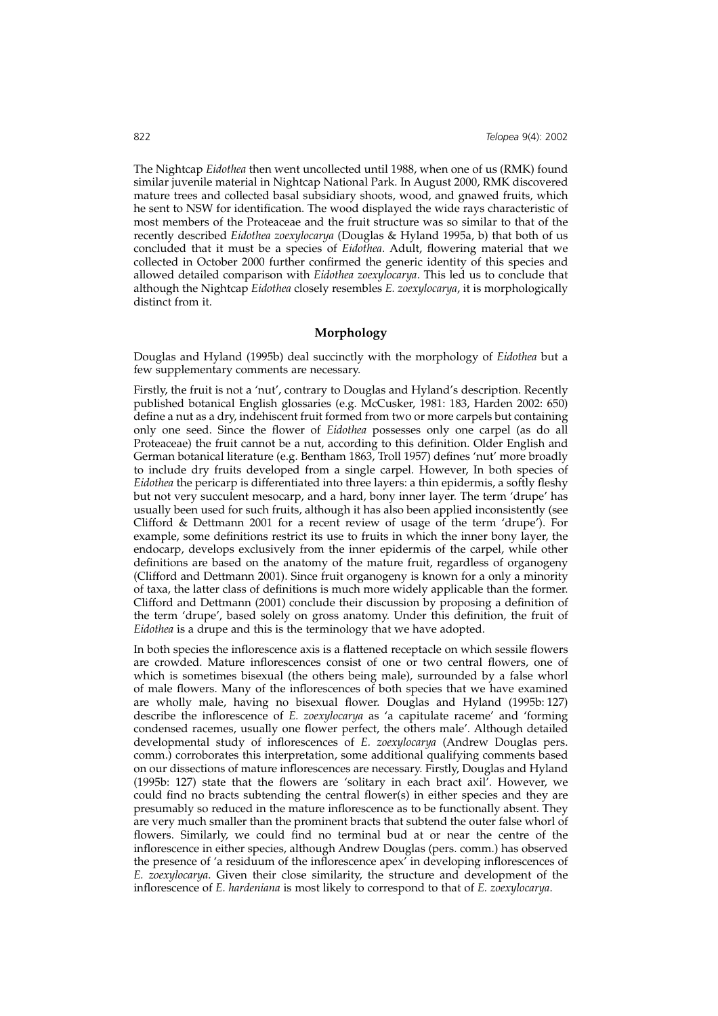The Nightcap *Eidothea* then went uncollected until 1988, when one of us (RMK) found similar juvenile material in Nightcap National Park. In August 2000, RMK discovered mature trees and collected basal subsidiary shoots, wood, and gnawed fruits, which he sent to NSW for identification. The wood displayed the wide rays characteristic of most members of the Proteaceae and the fruit structure was so similar to that of the recently described *Eidothea zoexylocarya* (Douglas & Hyland 1995a, b) that both of us concluded that it must be a species of *Eidothea*. Adult, flowering material that we collected in October 2000 further confirmed the generic identity of this species and allowed detailed comparison with *Eidothea zoexylocarya*. This led us to conclude that although the Nightcap *Eidothea* closely resembles *E. zoexylocarya*, it is morphologically distinct from it.

# **Morphology**

Douglas and Hyland (1995b) deal succinctly with the morphology of *Eidothea* but a few supplementary comments are necessary.

Firstly, the fruit is not a 'nut', contrary to Douglas and Hyland's description. Recently published botanical English glossaries (e.g. McCusker, 1981: 183, Harden 2002: 650) define a nut as a dry, indehiscent fruit formed from two or more carpels but containing only one seed. Since the flower of *Eidothea* possesses only one carpel (as do all Proteaceae) the fruit cannot be a nut, according to this definition. Older English and German botanical literature (e.g. Bentham 1863, Troll 1957) defines 'nut' more broadly to include dry fruits developed from a single carpel. However, In both species of *Eidothea* the pericarp is differentiated into three layers: a thin epidermis, a softly fleshy but not very succulent mesocarp, and a hard, bony inner layer. The term 'drupe' has usually been used for such fruits, although it has also been applied inconsistently (see Clifford & Dettmann 2001 for a recent review of usage of the term 'drupe'). For example, some definitions restrict its use to fruits in which the inner bony layer, the endocarp, develops exclusively from the inner epidermis of the carpel, while other definitions are based on the anatomy of the mature fruit, regardless of organogeny (Clifford and Dettmann 2001). Since fruit organogeny is known for a only a minority of taxa, the latter class of definitions is much more widely applicable than the former. Clifford and Dettmann (2001) conclude their discussion by proposing a definition of the term 'drupe', based solely on gross anatomy. Under this definition, the fruit of *Eidothea* is a drupe and this is the terminology that we have adopted.

In both species the inflorescence axis is a flattened receptacle on which sessile flowers are crowded. Mature inflorescences consist of one or two central flowers, one of which is sometimes bisexual (the others being male), surrounded by a false whorl of male flowers. Many of the inflorescences of both species that we have examined are wholly male, having no bisexual flower. Douglas and Hyland (1995b: 127) describe the inflorescence of *E. zoexylocarya* as 'a capitulate raceme' and 'forming condensed racemes, usually one flower perfect, the others male'. Although detailed developmental study of inflorescences of *E. zoexylocarya* (Andrew Douglas pers. comm.) corroborates this interpretation, some additional qualifying comments based on our dissections of mature inflorescences are necessary. Firstly, Douglas and Hyland (1995b: 127) state that the flowers are 'solitary in each bract axil'. However, we could find no bracts subtending the central flower(s) in either species and they are presumably so reduced in the mature inflorescence as to be functionally absent. They are very much smaller than the prominent bracts that subtend the outer false whorl of flowers. Similarly, we could find no terminal bud at or near the centre of the inflorescence in either species, although Andrew Douglas (pers. comm.) has observed the presence of 'a residuum of the inflorescence apex' in developing inflorescences of *E. zoexylocarya*. Given their close similarity, the structure and development of the inflorescence of *E. hardeniana* is most likely to correspond to that of *E. zoexylocarya*.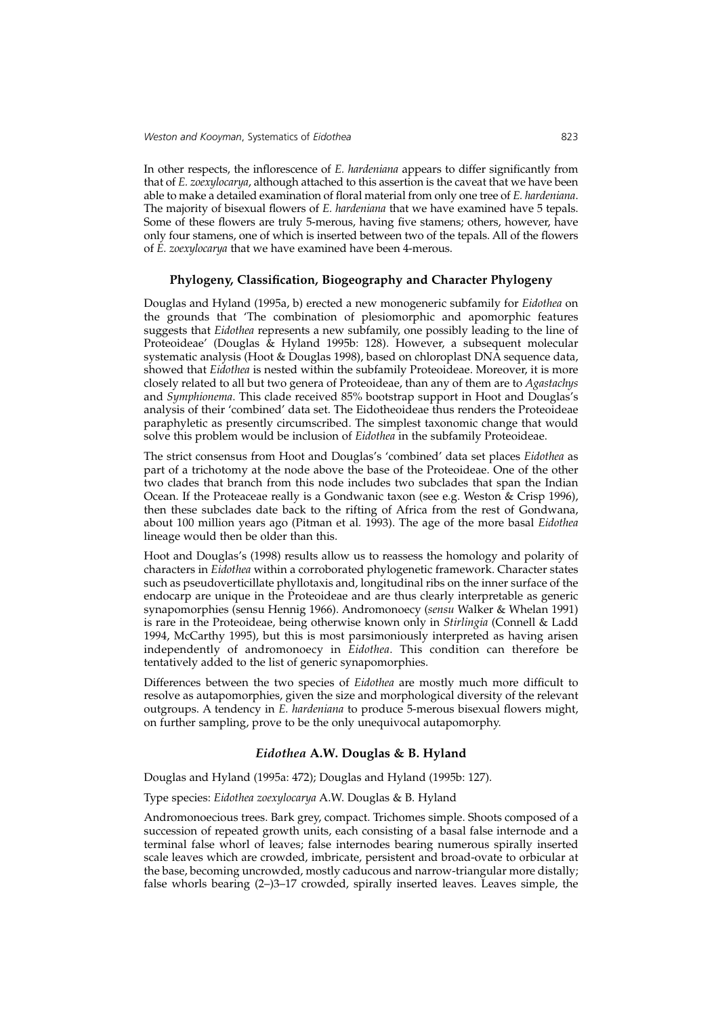In other respects, the inflorescence of *E. hardeniana* appears to differ significantly from that of *E. zoexylocarya*, although attached to this assertion is the caveat that we have been able to make a detailed examination of floral material from only one tree of *E. hardeniana*. The majority of bisexual flowers of *E. hardeniana* that we have examined have 5 tepals. Some of these flowers are truly 5-merous, having five stamens; others, however, have only four stamens, one of which is inserted between two of the tepals. All of the flowers of *E. zoexylocarya* that we have examined have been 4-merous.

## **Phylogeny, Classification, Biogeography and Character Phylogeny**

Douglas and Hyland (1995a, b) erected a new monogeneric subfamily for *Eidothea* on the grounds that 'The combination of plesiomorphic and apomorphic features suggests that *Eidothea* represents a new subfamily, one possibly leading to the line of Proteoideae' (Douglas & Hyland 1995b: 128). However, a subsequent molecular systematic analysis (Hoot & Douglas 1998), based on chloroplast DNA sequence data, showed that *Eidothea* is nested within the subfamily Proteoideae. Moreover, it is more closely related to all but two genera of Proteoideae, than any of them are to *Agastachys* and *Symphionema*. This clade received 85% bootstrap support in Hoot and Douglas's analysis of their 'combined' data set. The Eidotheoideae thus renders the Proteoideae paraphyletic as presently circumscribed. The simplest taxonomic change that would solve this problem would be inclusion of *Eidothea* in the subfamily Proteoideae.

The strict consensus from Hoot and Douglas's 'combined' data set places *Eidothea* as part of a trichotomy at the node above the base of the Proteoideae. One of the other two clades that branch from this node includes two subclades that span the Indian Ocean. If the Proteaceae really is a Gondwanic taxon (see e.g. Weston & Crisp 1996), then these subclades date back to the rifting of Africa from the rest of Gondwana, about 100 million years ago (Pitman et al*.* 1993). The age of the more basal *Eidothea* lineage would then be older than this.

Hoot and Douglas's (1998) results allow us to reassess the homology and polarity of characters in *Eidothea* within a corroborated phylogenetic framework. Character states such as pseudoverticillate phyllotaxis and, longitudinal ribs on the inner surface of the endocarp are unique in the Proteoideae and are thus clearly interpretable as generic synapomorphies (sensu Hennig 1966). Andromonoecy (*sensu* Walker & Whelan 1991) is rare in the Proteoideae, being otherwise known only in *Stirlingia* (Connell & Ladd 1994, McCarthy 1995), but this is most parsimoniously interpreted as having arisen independently of andromonoecy in *Eidothea*. This condition can therefore be tentatively added to the list of generic synapomorphies.

Differences between the two species of *Eidothea* are mostly much more difficult to resolve as autapomorphies, given the size and morphological diversity of the relevant outgroups. A tendency in *E. hardeniana* to produce 5-merous bisexual flowers might, on further sampling, prove to be the only unequivocal autapomorphy.

#### *Eidothea* **A.W. Douglas & B. Hyland**

Douglas and Hyland (1995a: 472); Douglas and Hyland (1995b: 127).

Type species: *Eidothea zoexylocarya* A.W. Douglas & B. Hyland

Andromonoecious trees. Bark grey, compact. Trichomes simple. Shoots composed of a succession of repeated growth units, each consisting of a basal false internode and a terminal false whorl of leaves; false internodes bearing numerous spirally inserted scale leaves which are crowded, imbricate, persistent and broad-ovate to orbicular at the base, becoming uncrowded, mostly caducous and narrow-triangular more distally; false whorls bearing (2–)3–17 crowded, spirally inserted leaves. Leaves simple, the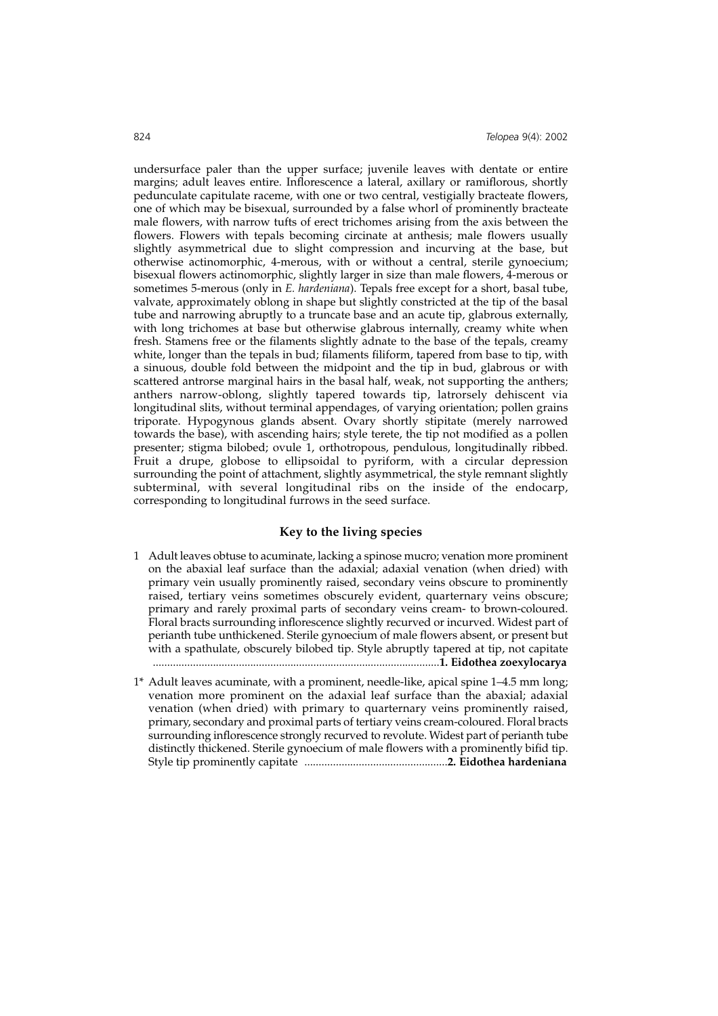undersurface paler than the upper surface; juvenile leaves with dentate or entire margins; adult leaves entire. Inflorescence a lateral, axillary or ramiflorous, shortly pedunculate capitulate raceme, with one or two central, vestigially bracteate flowers, one of which may be bisexual, surrounded by a false whorl of prominently bracteate male flowers, with narrow tufts of erect trichomes arising from the axis between the flowers. Flowers with tepals becoming circinate at anthesis; male flowers usually slightly asymmetrical due to slight compression and incurving at the base, but otherwise actinomorphic, 4-merous, with or without a central, sterile gynoecium; bisexual flowers actinomorphic, slightly larger in size than male flowers, 4-merous or sometimes 5-merous (only in *E. hardeniana*). Tepals free except for a short, basal tube, valvate, approximately oblong in shape but slightly constricted at the tip of the basal tube and narrowing abruptly to a truncate base and an acute tip, glabrous externally, with long trichomes at base but otherwise glabrous internally, creamy white when fresh. Stamens free or the filaments slightly adnate to the base of the tepals, creamy white, longer than the tepals in bud; filaments filiform, tapered from base to tip, with a sinuous, double fold between the midpoint and the tip in bud, glabrous or with scattered antrorse marginal hairs in the basal half, weak, not supporting the anthers; anthers narrow-oblong, slightly tapered towards tip, latrorsely dehiscent via longitudinal slits, without terminal appendages, of varying orientation; pollen grains triporate. Hypogynous glands absent. Ovary shortly stipitate (merely narrowed towards the base), with ascending hairs; style terete, the tip not modified as a pollen presenter; stigma bilobed; ovule 1, orthotropous, pendulous, longitudinally ribbed. Fruit a drupe, globose to ellipsoidal to pyriform, with a circular depression surrounding the point of attachment, slightly asymmetrical, the style remnant slightly subterminal, with several longitudinal ribs on the inside of the endocarp, corresponding to longitudinal furrows in the seed surface.

## **Key to the living species**

- 1 Adult leaves obtuse to acuminate, lacking a spinose mucro; venation more prominent on the abaxial leaf surface than the adaxial; adaxial venation (when dried) with primary vein usually prominently raised, secondary veins obscure to prominently raised, tertiary veins sometimes obscurely evident, quarternary veins obscure; primary and rarely proximal parts of secondary veins cream- to brown-coloured. Floral bracts surrounding inflorescence slightly recurved or incurved. Widest part of perianth tube unthickened. Sterile gynoecium of male flowers absent, or present but with a spathulate, obscurely bilobed tip. Style abruptly tapered at tip, not capitate ....................................................................................................**1. Eidothea zoexylocarya**
- 1\* Adult leaves acuminate, with a prominent, needle-like, apical spine 1–4.5 mm long; venation more prominent on the adaxial leaf surface than the abaxial; adaxial venation (when dried) with primary to quarternary veins prominently raised, primary, secondary and proximal parts of tertiary veins cream-coloured. Floral bracts surrounding inflorescence strongly recurved to revolute. Widest part of perianth tube distinctly thickened. Sterile gynoecium of male flowers with a prominently bifid tip. Style tip prominently capitate ..................................................**2. Eidothea hardeniana**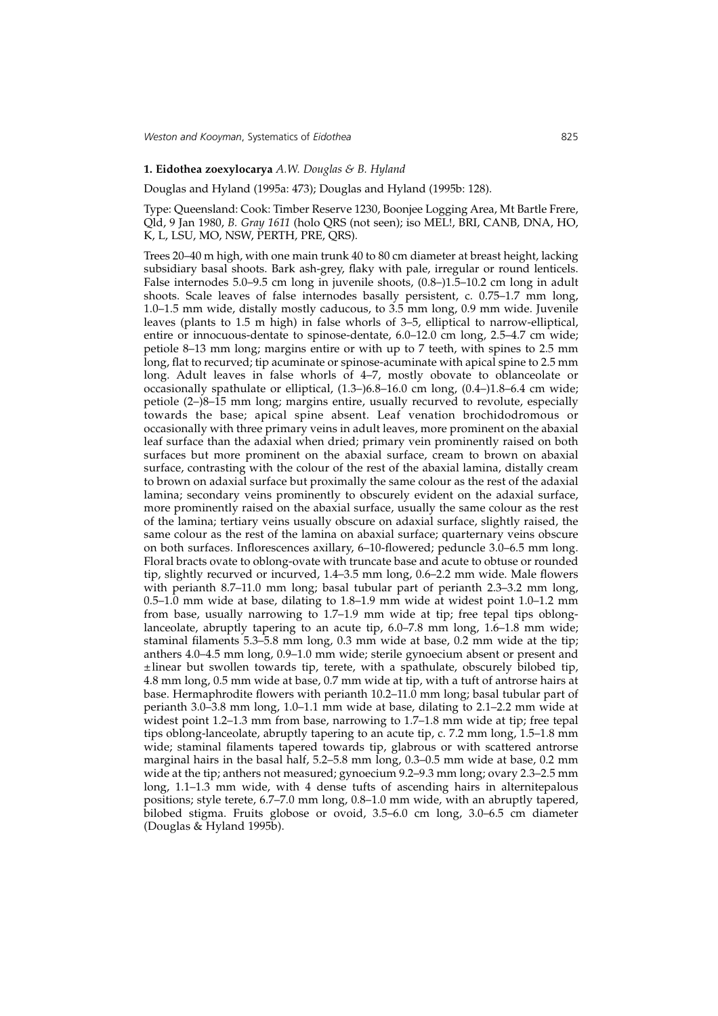#### **1. Eidothea zoexylocarya** *A.W. Douglas & B. Hyland*

Douglas and Hyland (1995a: 473); Douglas and Hyland (1995b: 128).

Type: Queensland: Cook: Timber Reserve 1230, Boonjee Logging Area, Mt Bartle Frere, Qld, 9 Jan 1980, *B. Gray 1611* (holo QRS (not seen); iso MEL!, BRI, CANB, DNA, HO, K, L, LSU, MO, NSW, PERTH, PRE, QRS).

Trees 20–40 m high, with one main trunk 40 to 80 cm diameter at breast height, lacking subsidiary basal shoots. Bark ash-grey, flaky with pale, irregular or round lenticels. False internodes 5.0–9.5 cm long in juvenile shoots, (0.8–)1.5–10.2 cm long in adult shoots. Scale leaves of false internodes basally persistent, c. 0.75–1.7 mm long, 1.0–1.5 mm wide, distally mostly caducous, to 3.5 mm long, 0.9 mm wide. Juvenile leaves (plants to 1.5 m high) in false whorls of 3–5, elliptical to narrow-elliptical, entire or innocuous-dentate to spinose-dentate, 6.0–12.0 cm long, 2.5–4.7 cm wide; petiole 8–13 mm long; margins entire or with up to 7 teeth, with spines to 2.5 mm long, flat to recurved; tip acuminate or spinose-acuminate with apical spine to 2.5 mm long. Adult leaves in false whorls of 4–7, mostly obovate to oblanceolate or occasionally spathulate or elliptical, (1.3–)6.8–16.0 cm long, (0.4–)1.8–6.4 cm wide; petiole (2–)8–15 mm long; margins entire, usually recurved to revolute, especially towards the base; apical spine absent. Leaf venation brochidodromous or occasionally with three primary veins in adult leaves, more prominent on the abaxial leaf surface than the adaxial when dried; primary vein prominently raised on both surfaces but more prominent on the abaxial surface, cream to brown on abaxial surface, contrasting with the colour of the rest of the abaxial lamina, distally cream to brown on adaxial surface but proximally the same colour as the rest of the adaxial lamina; secondary veins prominently to obscurely evident on the adaxial surface, more prominently raised on the abaxial surface, usually the same colour as the rest of the lamina; tertiary veins usually obscure on adaxial surface, slightly raised, the same colour as the rest of the lamina on abaxial surface; quarternary veins obscure on both surfaces. Inflorescences axillary, 6–10-flowered; peduncle 3.0–6.5 mm long. Floral bracts ovate to oblong-ovate with truncate base and acute to obtuse or rounded tip, slightly recurved or incurved, 1.4–3.5 mm long, 0.6–2.2 mm wide. Male flowers with perianth 8.7–11.0 mm long; basal tubular part of perianth 2.3–3.2 mm long, 0.5–1.0 mm wide at base, dilating to 1.8–1.9 mm wide at widest point 1.0–1.2 mm from base, usually narrowing to 1.7–1.9 mm wide at tip; free tepal tips oblonglanceolate, abruptly tapering to an acute tip, 6.0–7.8 mm long, 1.6–1.8 mm wide; staminal filaments 5.3–5.8 mm long, 0.3 mm wide at base, 0.2 mm wide at the tip; anthers 4.0–4.5 mm long, 0.9–1.0 mm wide; sterile gynoecium absent or present and  $\pm$ linear but swollen towards tip, terete, with a spathulate, obscurely bilobed tip, 4.8 mm long, 0.5 mm wide at base, 0.7 mm wide at tip, with a tuft of antrorse hairs at base. Hermaphrodite flowers with perianth 10.2–11.0 mm long; basal tubular part of perianth 3.0–3.8 mm long, 1.0–1.1 mm wide at base, dilating to 2.1–2.2 mm wide at widest point 1.2–1.3 mm from base, narrowing to 1.7–1.8 mm wide at tip; free tepal tips oblong-lanceolate, abruptly tapering to an acute tip, c. 7.2 mm long, 1.5–1.8 mm wide; staminal filaments tapered towards tip, glabrous or with scattered antrorse marginal hairs in the basal half, 5.2–5.8 mm long, 0.3–0.5 mm wide at base, 0.2 mm wide at the tip; anthers not measured; gynoecium 9.2–9.3 mm long; ovary 2.3–2.5 mm long, 1.1-1.3 mm wide, with 4 dense tufts of ascending hairs in alternitepalous positions; style terete, 6.7–7.0 mm long, 0.8–1.0 mm wide, with an abruptly tapered, bilobed stigma. Fruits globose or ovoid, 3.5–6.0 cm long, 3.0–6.5 cm diameter (Douglas & Hyland 1995b).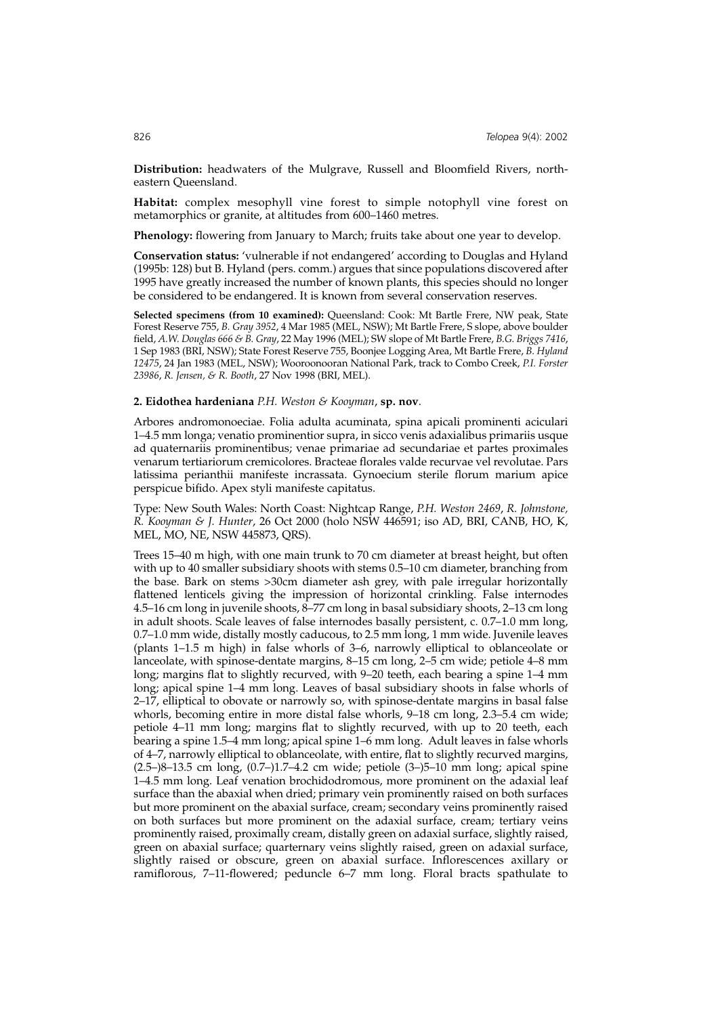**Distribution:** headwaters of the Mulgrave, Russell and Bloomfield Rivers, northeastern Queensland.

**Habitat:** complex mesophyll vine forest to simple notophyll vine forest on metamorphics or granite, at altitudes from 600–1460 metres.

**Phenology:** flowering from January to March; fruits take about one year to develop.

**Conservation status:** 'vulnerable if not endangered' according to Douglas and Hyland (1995b: 128) but B. Hyland (pers. comm.) argues that since populations discovered after 1995 have greatly increased the number of known plants, this species should no longer be considered to be endangered. It is known from several conservation reserves.

**Selected specimens (from 10 examined):** Queensland: Cook: Mt Bartle Frere, NW peak, State Forest Reserve 755, *B. Gray 3952*, 4 Mar 1985 (MEL, NSW); Mt Bartle Frere, S slope, above boulder field, *A.W. Douglas 666 & B. Gray*, 22 May 1996 (MEL); SW slope of Mt Bartle Frere, *B.G. Briggs 7416*, 1 Sep 1983 (BRI, NSW); State Forest Reserve 755, Boonjee Logging Area, Mt Bartle Frere, *B. Hyland 12475*, 24 Jan 1983 (MEL, NSW); Wooroonooran National Park, track to Combo Creek, *P.I. Forster 23986*, *R. Jensen, & R. Booth*, 27 Nov 1998 (BRI, MEL).

## **2. Eidothea hardeniana** *P.H. Weston & Kooyman*, **sp. nov**.

Arbores andromonoeciae. Folia adulta acuminata, spina apicali prominenti aciculari 1–4.5 mm longa; venatio prominentior supra, in sicco venis adaxialibus primariis usque ad quaternariis prominentibus; venae primariae ad secundariae et partes proximales venarum tertiariorum cremicolores. Bracteae florales valde recurvae vel revolutae. Pars latissima perianthii manifeste incrassata. Gynoecium sterile florum marium apice perspicue bifido. Apex styli manifeste capitatus.

Type: New South Wales: North Coast: Nightcap Range, *P.H. Weston 2469*, *R. Johnstone, R. Kooyman & J. Hunter*, 26 Oct 2000 (holo NSW 446591; iso AD, BRI, CANB, HO, K, MEL, MO, NE, NSW 445873, QRS).

Trees 15–40 m high, with one main trunk to 70 cm diameter at breast height, but often with up to 40 smaller subsidiary shoots with stems 0.5–10 cm diameter, branching from the base. Bark on stems >30cm diameter ash grey, with pale irregular horizontally flattened lenticels giving the impression of horizontal crinkling. False internodes 4.5–16 cm long in juvenile shoots, 8–77 cm long in basal subsidiary shoots, 2–13 cm long in adult shoots. Scale leaves of false internodes basally persistent, c. 0.7–1.0 mm long, 0.7–1.0 mm wide, distally mostly caducous, to 2.5 mm long, 1 mm wide. Juvenile leaves (plants 1–1.5 m high) in false whorls of 3–6, narrowly elliptical to oblanceolate or lanceolate, with spinose-dentate margins, 8–15 cm long, 2–5 cm wide; petiole 4–8 mm long; margins flat to slightly recurved, with 9–20 teeth, each bearing a spine 1–4 mm long; apical spine 1–4 mm long. Leaves of basal subsidiary shoots in false whorls of 2–17, elliptical to obovate or narrowly so, with spinose-dentate margins in basal false whorls, becoming entire in more distal false whorls, 9–18 cm long, 2.3–5.4 cm wide; petiole 4–11 mm long; margins flat to slightly recurved, with up to 20 teeth, each bearing a spine 1.5–4 mm long; apical spine 1–6 mm long. Adult leaves in false whorls of 4–7, narrowly elliptical to oblanceolate, with entire, flat to slightly recurved margins, (2.5–)8–13.5 cm long, (0.7–)1.7–4.2 cm wide; petiole (3–)5–10 mm long; apical spine 1–4.5 mm long. Leaf venation brochidodromous, more prominent on the adaxial leaf surface than the abaxial when dried; primary vein prominently raised on both surfaces but more prominent on the abaxial surface, cream; secondary veins prominently raised on both surfaces but more prominent on the adaxial surface, cream; tertiary veins prominently raised, proximally cream, distally green on adaxial surface, slightly raised, green on abaxial surface; quarternary veins slightly raised, green on adaxial surface, slightly raised or obscure, green on abaxial surface. Inflorescences axillary or ramiflorous, 7–11-flowered; peduncle 6–7 mm long. Floral bracts spathulate to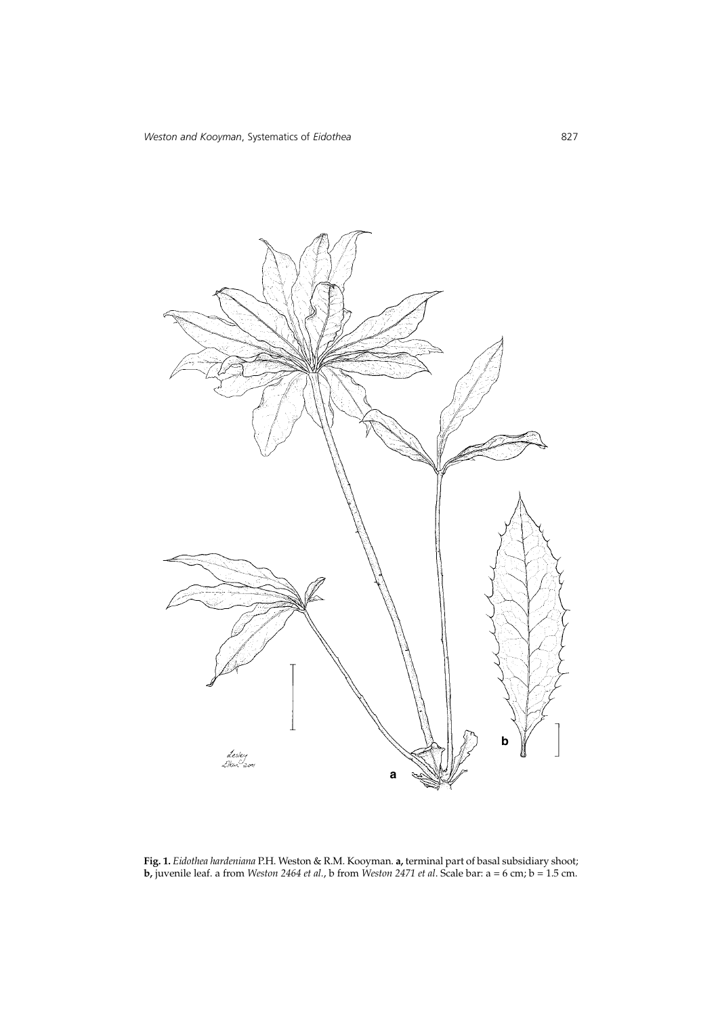

**Fig. 1.** *Eidothea hardeniana* P.H. Weston & R.M. Kooyman. **a,** terminal part of basal subsidiary shoot; **b,** juvenile leaf. a from *Weston 2464 et al.*, b from *Weston 2471 et al*. Scale bar: a = 6 cm; b = 1.5 cm.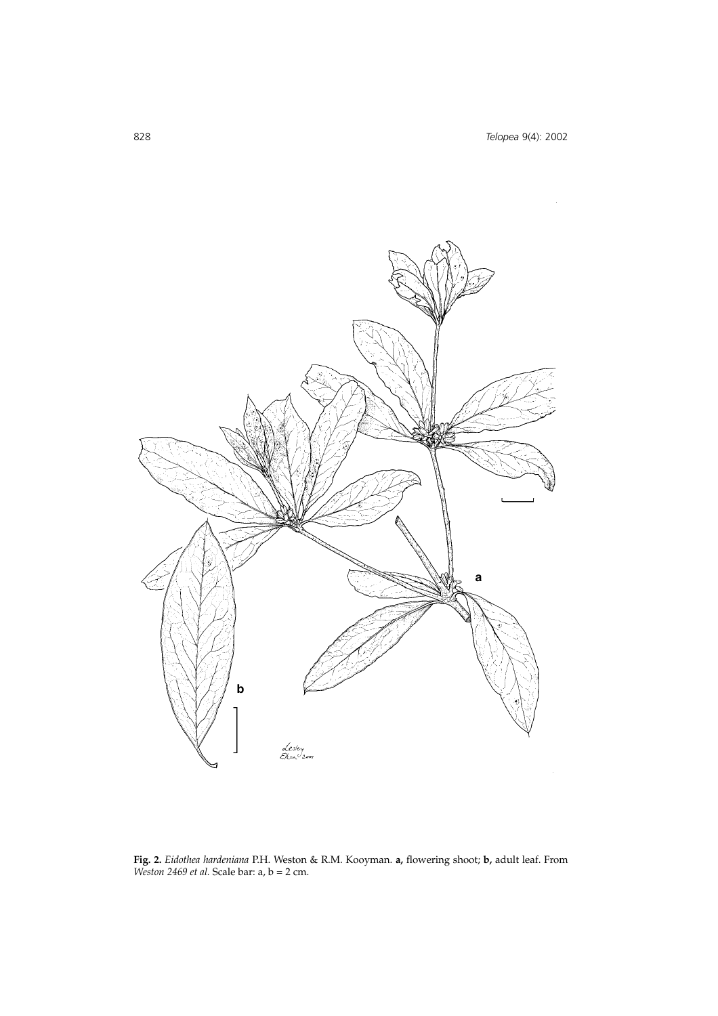

**Fig. 2.** *Eidothea hardeniana* P.H. Weston & R.M. Kooyman. **a,** flowering shoot; **b,** adult leaf. From *Weston 2469 et al.* Scale bar: a, b = 2 cm.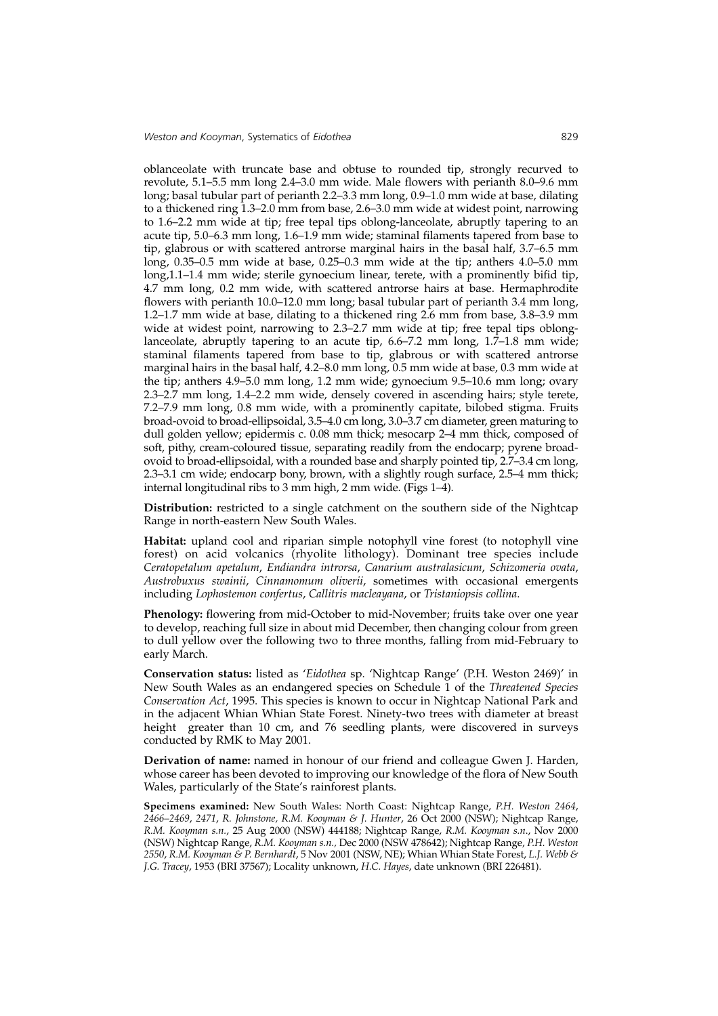oblanceolate with truncate base and obtuse to rounded tip, strongly recurved to revolute, 5.1–5.5 mm long 2.4–3.0 mm wide. Male flowers with perianth 8.0–9.6 mm long; basal tubular part of perianth 2.2–3.3 mm long, 0.9–1.0 mm wide at base, dilating to a thickened ring 1.3–2.0 mm from base, 2.6–3.0 mm wide at widest point, narrowing to 1.6–2.2 mm wide at tip; free tepal tips oblong-lanceolate, abruptly tapering to an acute tip, 5.0–6.3 mm long, 1.6–1.9 mm wide; staminal filaments tapered from base to tip, glabrous or with scattered antrorse marginal hairs in the basal half, 3.7–6.5 mm long, 0.35–0.5 mm wide at base, 0.25–0.3 mm wide at the tip; anthers 4.0–5.0 mm long,1.1–1.4 mm wide; sterile gynoecium linear, terete, with a prominently bifid tip, 4.7 mm long, 0.2 mm wide, with scattered antrorse hairs at base. Hermaphrodite flowers with perianth 10.0–12.0 mm long; basal tubular part of perianth 3.4 mm long, 1.2–1.7 mm wide at base, dilating to a thickened ring 2.6 mm from base, 3.8–3.9 mm wide at widest point, narrowing to 2.3–2.7 mm wide at tip; free tepal tips oblonglanceolate, abruptly tapering to an acute tip, 6.6–7.2 mm long, 1.7–1.8 mm wide; staminal filaments tapered from base to tip, glabrous or with scattered antrorse marginal hairs in the basal half, 4.2–8.0 mm long, 0.5 mm wide at base, 0.3 mm wide at the tip; anthers 4.9–5.0 mm long, 1.2 mm wide; gynoecium 9.5–10.6 mm long; ovary 2.3–2.7 mm long, 1.4–2.2 mm wide, densely covered in ascending hairs; style terete, 7.2–7.9 mm long, 0.8 mm wide, with a prominently capitate, bilobed stigma. Fruits broad-ovoid to broad-ellipsoidal, 3.5–4.0 cm long, 3.0–3.7 cm diameter, green maturing to dull golden yellow; epidermis c. 0.08 mm thick; mesocarp 2–4 mm thick, composed of soft, pithy, cream-coloured tissue, separating readily from the endocarp; pyrene broadovoid to broad-ellipsoidal, with a rounded base and sharply pointed tip, 2.7–3.4 cm long, 2.3–3.1 cm wide; endocarp bony, brown, with a slightly rough surface, 2.5–4 mm thick; internal longitudinal ribs to 3 mm high, 2 mm wide. (Figs 1–4).

**Distribution:** restricted to a single catchment on the southern side of the Nightcap Range in north-eastern New South Wales.

**Habitat:** upland cool and riparian simple notophyll vine forest (to notophyll vine forest) on acid volcanics (rhyolite lithology). Dominant tree species include *Ceratopetalum apetalum*, *Endiandra introrsa*, *Canarium australasicum*, *Schizomeria ovata*, *Austrobuxus swainii*, *Cinnamomum oliverii*, sometimes with occasional emergents including *Lophostemon confertus*, *Callitris macleayana*, or *Tristaniopsis collina*.

**Phenology:** flowering from mid-October to mid-November; fruits take over one year to develop, reaching full size in about mid December, then changing colour from green to dull yellow over the following two to three months, falling from mid-February to early March.

**Conservation status:** listed as '*Eidothea* sp. 'Nightcap Range' (P.H. Weston 2469)' in New South Wales as an endangered species on Schedule 1 of the *Threatened Species Conservation Act*, 1995. This species is known to occur in Nightcap National Park and in the adjacent Whian Whian State Forest. Ninety-two trees with diameter at breast height greater than 10 cm, and 76 seedling plants, were discovered in surveys conducted by RMK to May 2001.

**Derivation of name:** named in honour of our friend and colleague Gwen J. Harden, whose career has been devoted to improving our knowledge of the flora of New South Wales, particularly of the State's rainforest plants.

**Specimens examined:** New South Wales: North Coast: Nightcap Range, *P.H. Weston 2464*, *2466–2469*, *2471*, *R. Johnstone, R.M. Kooyman & J. Hunter*, 26 Oct 2000 (NSW); Nightcap Range, *R.M. Kooyman s.n.*, 25 Aug 2000 (NSW) 444188; Nightcap Range, *R.M. Kooyman s.n*., Nov 2000 (NSW) Nightcap Range, *R.M. Kooyman s.n.,* Dec 2000 (NSW 478642); Nightcap Range, *P.H. Weston 2550*, *R.M. Kooyman & P. Bernhardt*, 5 Nov 2001 (NSW, NE); Whian Whian State Forest, *L.J. Webb & J.G. Tracey*, 1953 (BRI 37567); Locality unknown, *H.C. Hayes*, date unknown (BRI 226481).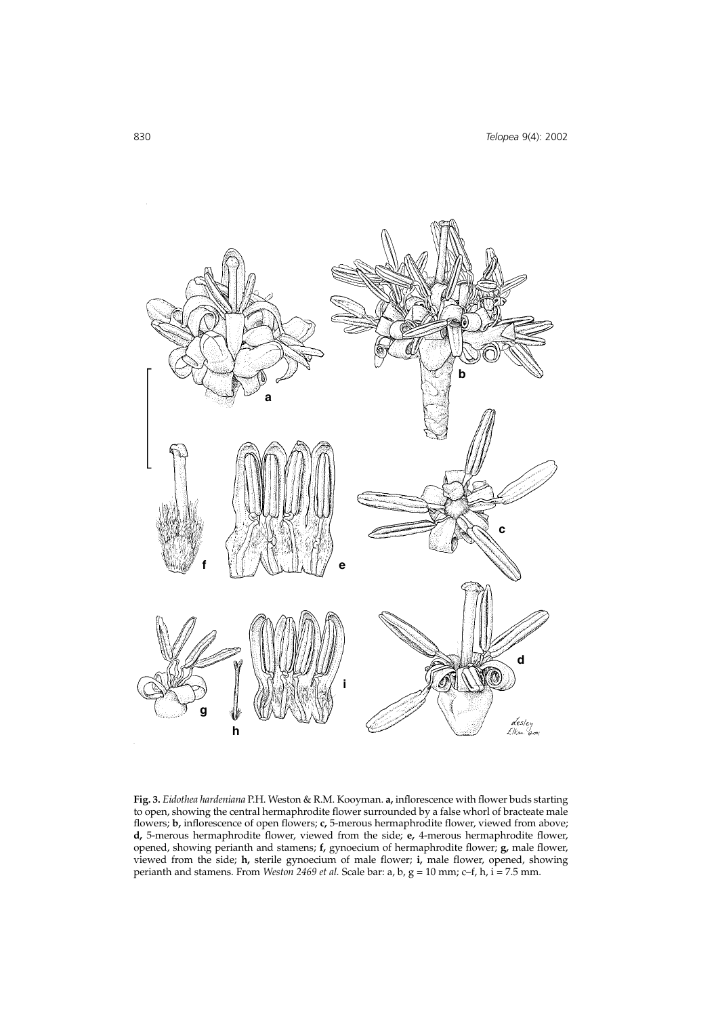

**Fig. 3.** *Eidothea hardeniana* P.H. Weston & R.M. Kooyman. **a,** inflorescence with flower buds starting to open, showing the central hermaphrodite flower surrounded by a false whorl of bracteate male flowers; **b,** inflorescence of open flowers; **c,** 5-merous hermaphrodite flower, viewed from above; **d,** 5-merous hermaphrodite flower, viewed from the side; **e,** 4-merous hermaphrodite flower, opened, showing perianth and stamens; **f,** gynoecium of hermaphrodite flower; **g,** male flower, viewed from the side; **h,** sterile gynoecium of male flower; **i,** male flower, opened, showing perianth and stamens. From *Weston 2469 et al.* Scale bar: a, b, g = 10 mm; c–f, h, i = 7.5 mm.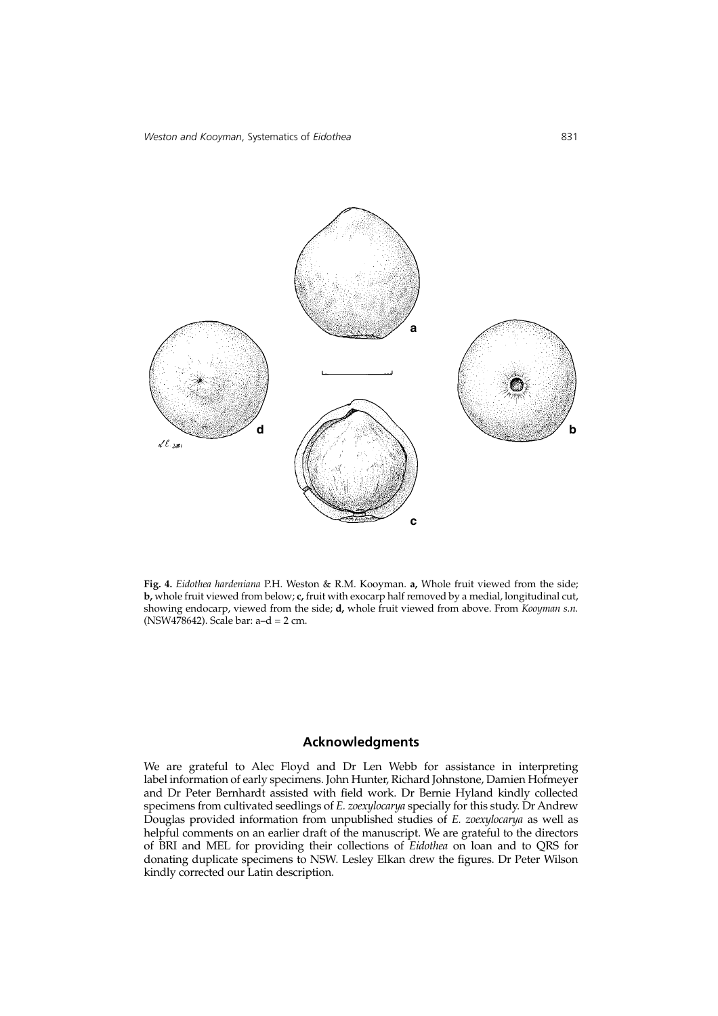

**Fig. 4.** *Eidothea hardeniana* P.H. Weston & R.M. Kooyman. **a,** Whole fruit viewed from the side; **b,** whole fruit viewed from below; **c,** fruit with exocarp half removed by a medial, longitudinal cut, showing endocarp, viewed from the side; **d,** whole fruit viewed from above. From *Kooyman s.n.* (NSW478642). Scale bar: a–d = 2 cm.

# **Acknowledgments**

We are grateful to Alec Floyd and Dr Len Webb for assistance in interpreting label information of early specimens. John Hunter, Richard Johnstone, Damien Hofmeyer and Dr Peter Bernhardt assisted with field work. Dr Bernie Hyland kindly collected specimens from cultivated seedlings of *E. zoexylocarya* specially for this study. Dr Andrew Douglas provided information from unpublished studies of *E. zoexylocarya* as well as helpful comments on an earlier draft of the manuscript. We are grateful to the directors of BRI and MEL for providing their collections of *Eidothea* on loan and to QRS for donating duplicate specimens to NSW. Lesley Elkan drew the figures. Dr Peter Wilson kindly corrected our Latin description.